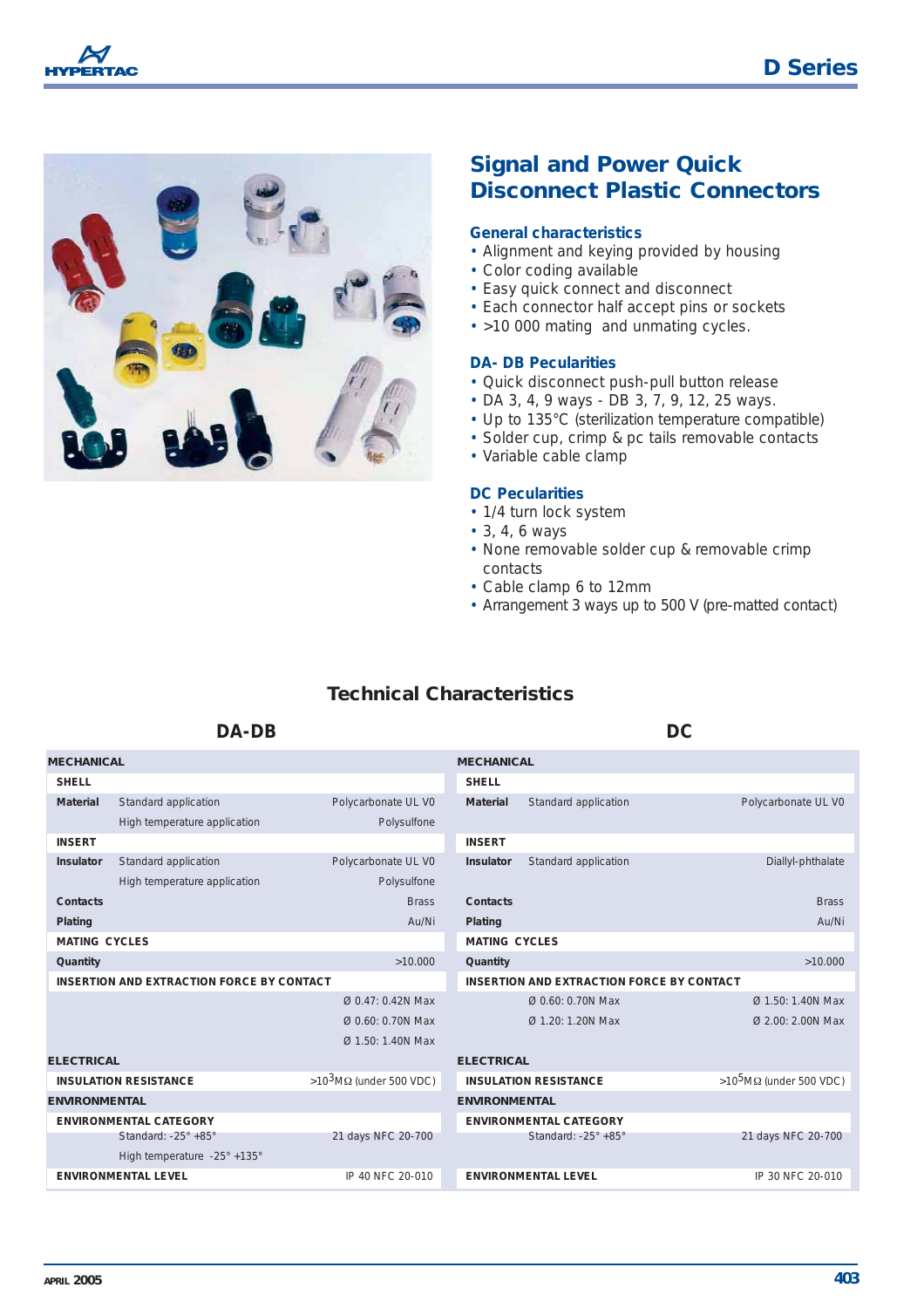



# **Signal and Power Quick Disconnect Plastic Connectors**

#### **General characteristics**

- Alignment and keying provided by housing
- Color coding available
- Easy quick connect and disconnect
- Each connector half accept pins or sockets
- >10 000 mating and unmating cycles.

#### **DA- DB Pecularities**

- Quick disconnect push-pull button release
- DA 3, 4, 9 ways DB 3, 7, 9, 12, 25 ways.
- Up to 135°C (sterilization temperature compatible)
- Solder cup, crimp & pc tails removable contacts
- Variable cable clamp

#### **DC Pecularities**

- 1/4 turn lock system
- 3, 4, 6 ways
- None removable solder cup & removable crimp contacts
- Cable clamp 6 to 12mm
- Arrangement 3 ways up to 500 V (pre-matted contact)

## **Technical Characteristics**

#### **DA-DB DC**

**MECHANICAL** *SHELL* **Material** Standard application **Polycarbonate UL V0** High temperature application Polysulfone *INSERT* **Insulator** Standard application Polycarbonate UL V0 High temperature application **Polysulfone Contacts** Brass **Brass Plating** Au/Ni *MATING CYCLES* **Quantity**  $>10.000$ *INSERTION AND EXTRACTION FORCE BY CONTACT* Ø 0.47: 0.42N Max Ø 0.60: 0.70N Max  $Q$  1.50: 1.40N Max **ELECTRICAL** *INSULATION RESISTANCE* >10<sup>3</sup>MΩ (under 500 VDC) **ENVIRONMENTAL**  *ENVIRONMENTAL CATEGORY* Standard: -25° +85° 21 days NFC 20-700 High temperature -25° +135° *ENVIRONMENTAL LEVEL IP 40 NFC 20-010* **MECHANICAL** *SHELL* **Material** Standard application **Polycarbonate UL V0** *INSERT* **Insulator** Standard application Diallyl-phthalate **Contacts** Brass **Brass Plating** Au/Ni *MATING CYCLES* **Quantity** >10.000 *INSERTION AND EXTRACTION FORCE BY CONTACT* Ø 0.60: 0.70N Max Ø 1.50: 1.40N Max Ø 1.20: 1.20N Max Ø 2.00: 2.00N Max **ELECTRICAL** *INSULATION RESISTANCE* >10<sup>5</sup>MΩ (under 500 VDC) **ENVIRONMENTAL**  *ENVIRONMENTAL CATEGORY* Standard: -25° +85° 21 days NFC 20-700 *ENVIRONMENTAL LEVEL IP 30 NFC 20-010*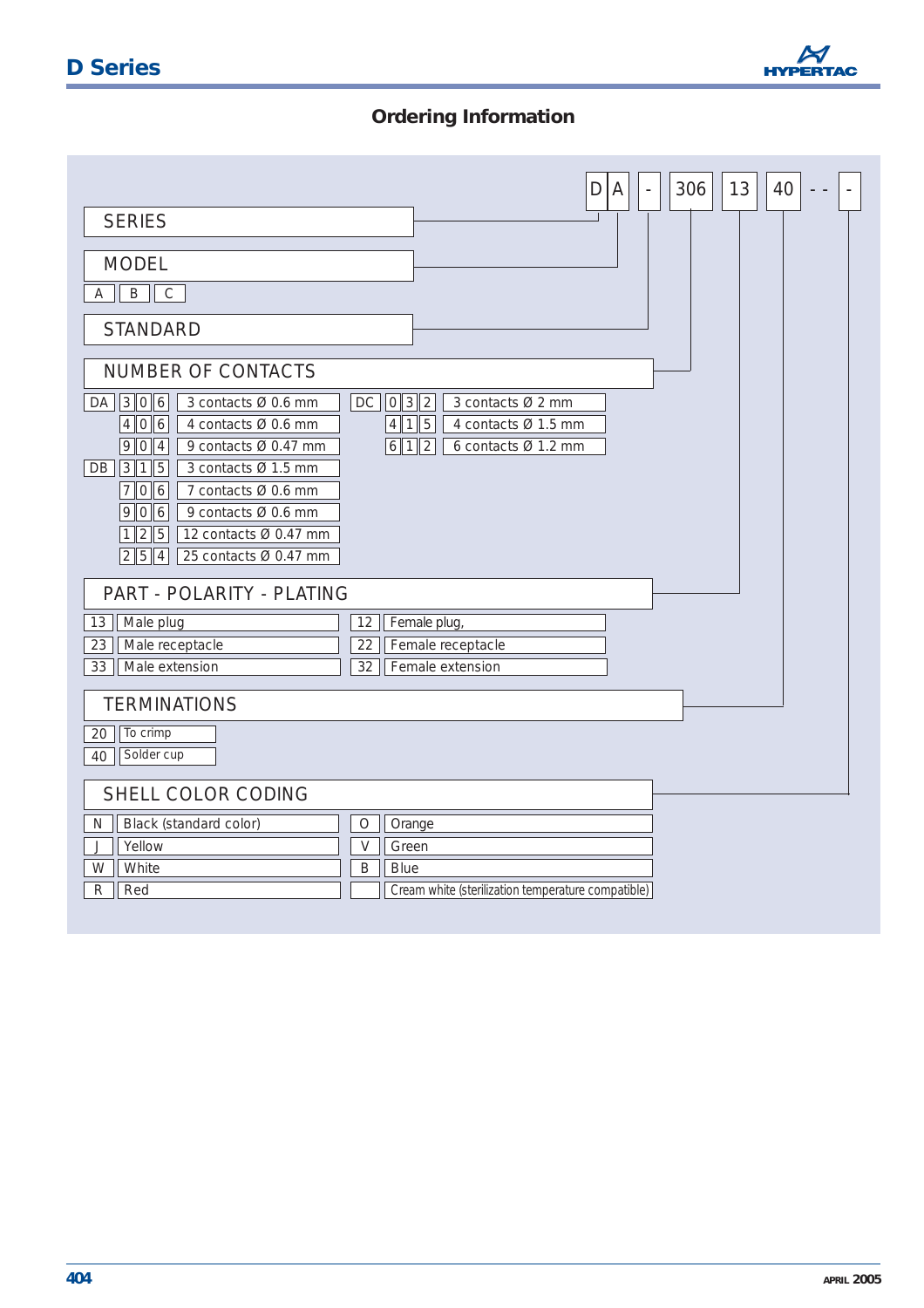

# **Ordering Information**

|                                                                                                                                                                                                                                                                                                   | 13<br>306<br>40<br>D<br>A<br>$\sim$                                                                   |
|---------------------------------------------------------------------------------------------------------------------------------------------------------------------------------------------------------------------------------------------------------------------------------------------------|-------------------------------------------------------------------------------------------------------|
| <b>SERIES</b>                                                                                                                                                                                                                                                                                     |                                                                                                       |
| <b>MODEL</b><br>B<br>$\mathsf C$<br>Α                                                                                                                                                                                                                                                             |                                                                                                       |
| <b>STANDARD</b>                                                                                                                                                                                                                                                                                   |                                                                                                       |
| NUMBER OF CONTACTS<br>$DA$ 306<br>3 contacts Ø 0.6 mm<br>4 0 6<br>4 contacts Ø 0.6 mm<br>9  0  4<br>9 contacts Ø 0.47 mm<br>DB 315<br>3 contacts Ø 1.5 mm<br>$7$ 0 6<br>7 contacts Ø 0.6 mm<br>9 0 6<br>9 contacts Ø 0.6 mm<br>1 2 5<br>12 contacts Ø 0.47 mm<br>2  5  4<br>25 contacts Ø 0.47 mm | $DC$ $0$ $3$ $2$<br>3 contacts Ø 2 mm<br>4 1 5<br>4 contacts Ø 1.5 mm<br>6 1 2<br>6 contacts Ø 1.2 mm |
| PART - POLARITY - PLATING                                                                                                                                                                                                                                                                         |                                                                                                       |
| 13<br>Male plug                                                                                                                                                                                                                                                                                   | 12<br>Female plug,                                                                                    |
| 23<br>Male receptacle                                                                                                                                                                                                                                                                             | 22<br>Female receptacle                                                                               |
| 33<br>Male extension                                                                                                                                                                                                                                                                              | Female extension<br>32                                                                                |
| <b>TERMINATIONS</b>                                                                                                                                                                                                                                                                               |                                                                                                       |
| To crimp<br>20<br>Solder cup<br>40                                                                                                                                                                                                                                                                |                                                                                                       |
| SHELL COLOR CODING                                                                                                                                                                                                                                                                                |                                                                                                       |
| Black (standard color)<br>N                                                                                                                                                                                                                                                                       | $\bigcirc$<br>Orange                                                                                  |
| Yellow<br>J                                                                                                                                                                                                                                                                                       | $\mathsf V$<br>Green                                                                                  |
| W<br>White                                                                                                                                                                                                                                                                                        | B<br><b>Blue</b>                                                                                      |
| Red<br>R                                                                                                                                                                                                                                                                                          | Cream white (sterilization temperature compatible)                                                    |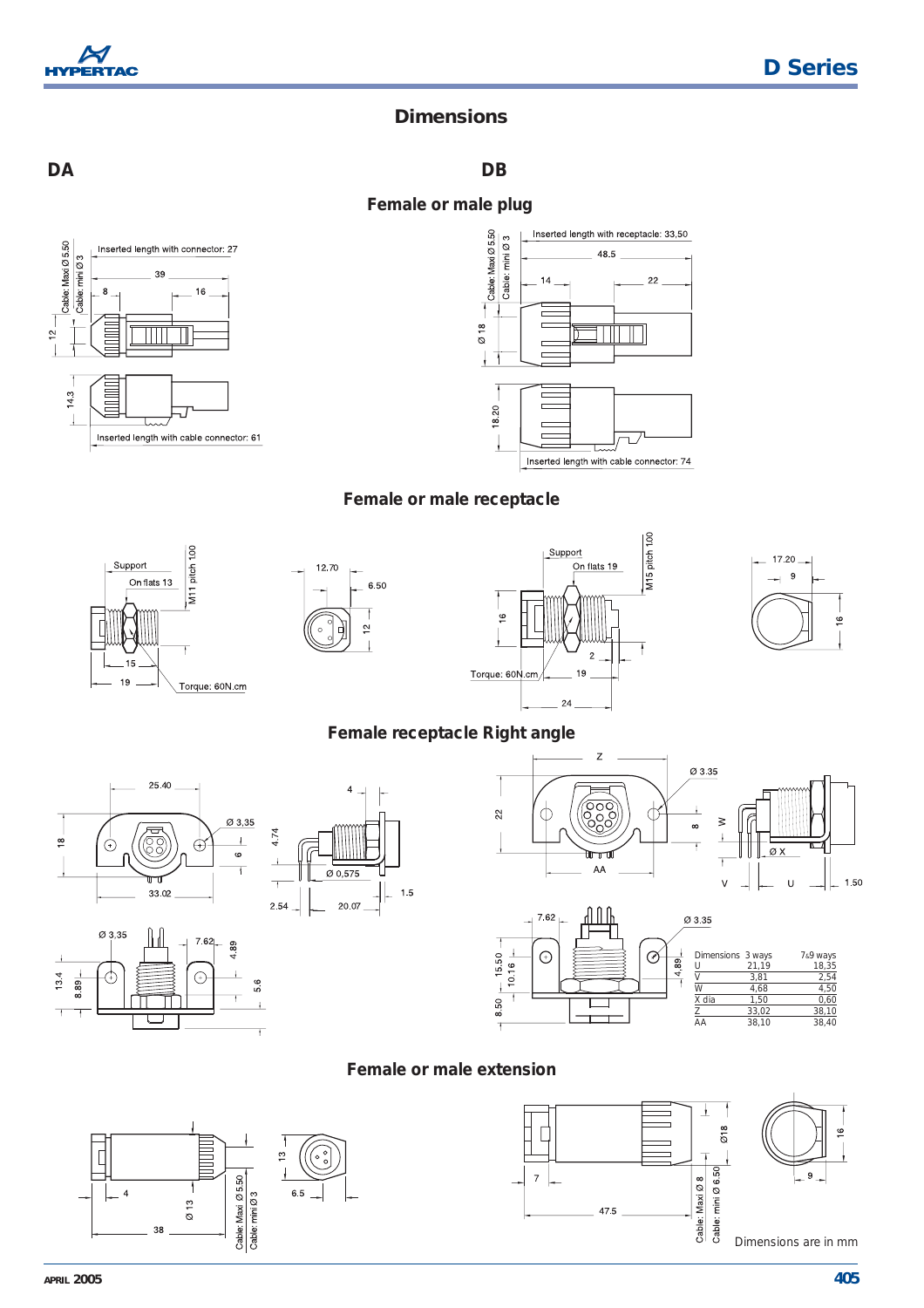

# **Dimensions**

**DA** 

**DB** 







### Female or male receptacle









### Female receptacle Right angle

 $1.5$ 







#### Female or male extension



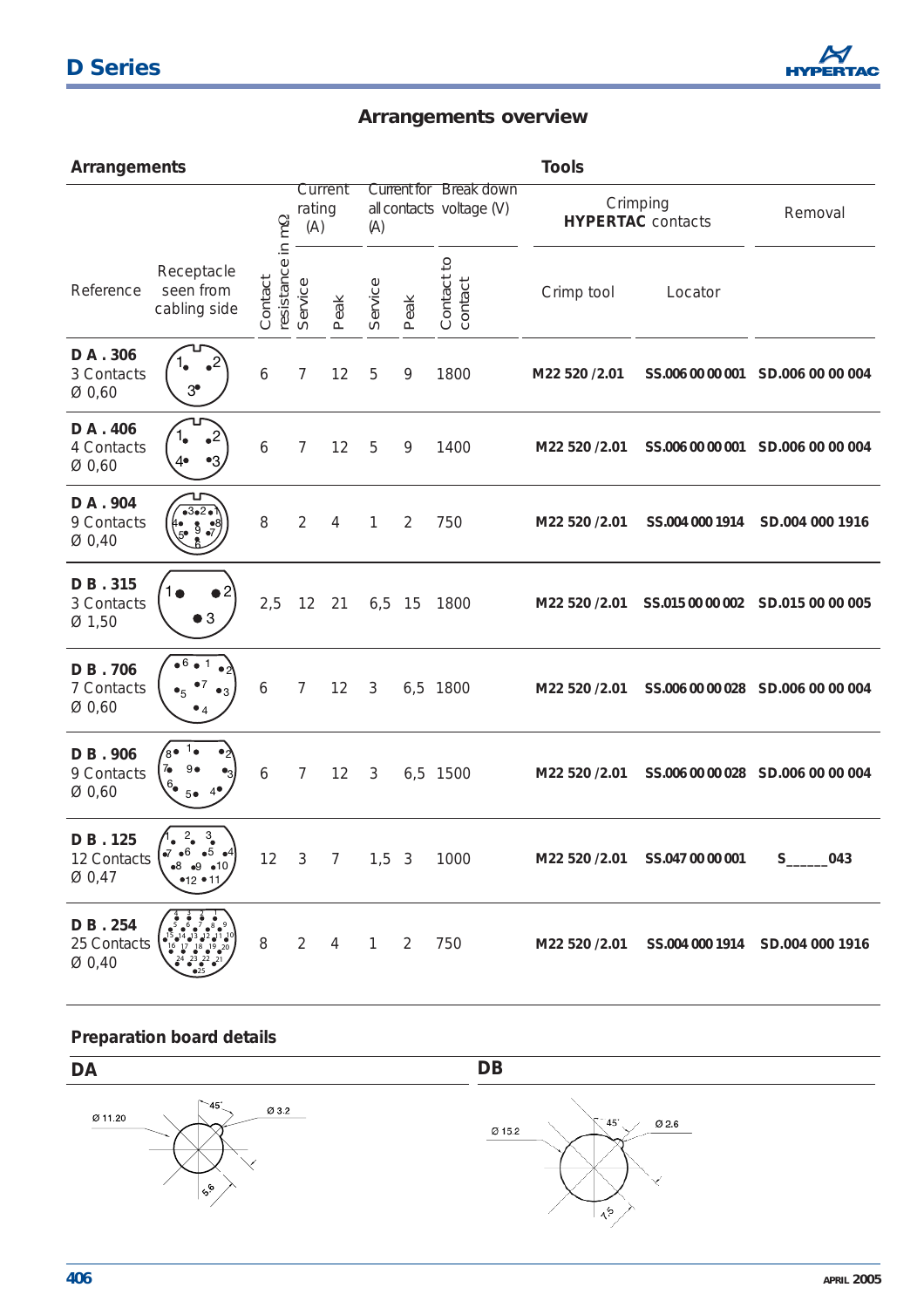# **D Series**



# **Arrangements overview**

| Arrangements                     |                                                                                |                             |                          |                |              |                |                                                    | <b>Tools</b>  |                                      |                                   |  |
|----------------------------------|--------------------------------------------------------------------------------|-----------------------------|--------------------------|----------------|--------------|----------------|----------------------------------------------------|---------------|--------------------------------------|-----------------------------------|--|
|                                  |                                                                                |                             | Current<br>rating<br>(A) |                | (A)          |                | Current for Break down<br>all contacts voltage (V) |               | Crimping<br><b>HYPERTAC</b> contacts | Removal                           |  |
| Reference                        | Receptacle<br>seen from<br>cabling side                                        | resistance in mΩ<br>Contact | Service                  | Peak           | Service      | Peak           | Contact to<br>contact                              | Crimp tool    | Locator                              |                                   |  |
| DA . 306<br>3 Contacts<br>Ø0,60  | $3^{\circ}$                                                                    | 6                           | 7                        | 12             | 5            | 9              | 1800                                               | M22 520 /2.01 |                                      | SS.006 00 00 001 SD.006 00 00 004 |  |
| DA . 406<br>4 Contacts<br>Ø0,60  | $\cdot^2$<br>4∙                                                                | 6                           | 7                        | 12             | 5            | 9              | 1400                                               | M22 520 /2.01 |                                      | SS.006 00 00 001 SD.006 00 00 004 |  |
| DA . 904<br>9 Contacts<br>Ø 0,40 | $5^{\circ}$ 9                                                                  | 8                           | $\overline{2}$           | 4              | 1            | $\overline{2}$ | 750                                                | M22 520 /2.01 | SS.004 000 1914                      | SD.004 000 1916                   |  |
| DB.315<br>3 Contacts<br>Ø1,50    | $\bullet$ 3                                                                    | 2,5                         | 12                       | 21             | $6,5$ 15     |                | 1800                                               | M22 520 /2.01 |                                      | SS.015 00 00 002 SD.015 00 00 005 |  |
| DB.706<br>7 Contacts<br>Ø0,60    | $\bullet$ <sup>6</sup><br>$\bullet_5$                                          | 6                           | 7                        | 12             | 3            |                | 6,5 1800                                           | M22 520 /2.01 |                                      | SS.006 00 00 028 SD.006 00 00 004 |  |
| DB.906<br>9 Contacts<br>Ø0,60    | ′8∙<br>7 <sub>•</sub><br>$9 \bullet$<br>$6_{\bullet}$<br>5●                    | 6                           | 7                        | 12             | 3            |                | 6,5 1500                                           | M22 520 /2.01 |                                      | SS.006 00 00 028 SD.006 00 00 004 |  |
| DB.125<br>12 Contacts<br>Ø 0,47  | $\mathbf{3}_{\bullet}$<br>$2_{\bullet}$<br>•5 •4<br>$-8$ $-9$ $-10$<br>•12 •11 | 12                          | $\overline{\mathbf{3}}$  | $\overline{7}$ | $1,5$ 3      |                | 1000                                               | M22 520 /2.01 | SS.047 00 00 001                     | 043<br>$S_{-}$                    |  |
| DB.254<br>25 Contacts<br>Ø0,40   |                                                                                | 8                           | $\overline{2}$           | $\overline{4}$ | $\mathbf{1}$ | 2              | 750                                                | M22 520 /2.01 |                                      | SS.004 000 1914 SD.004 000 1916   |  |

## **Preparation board details**

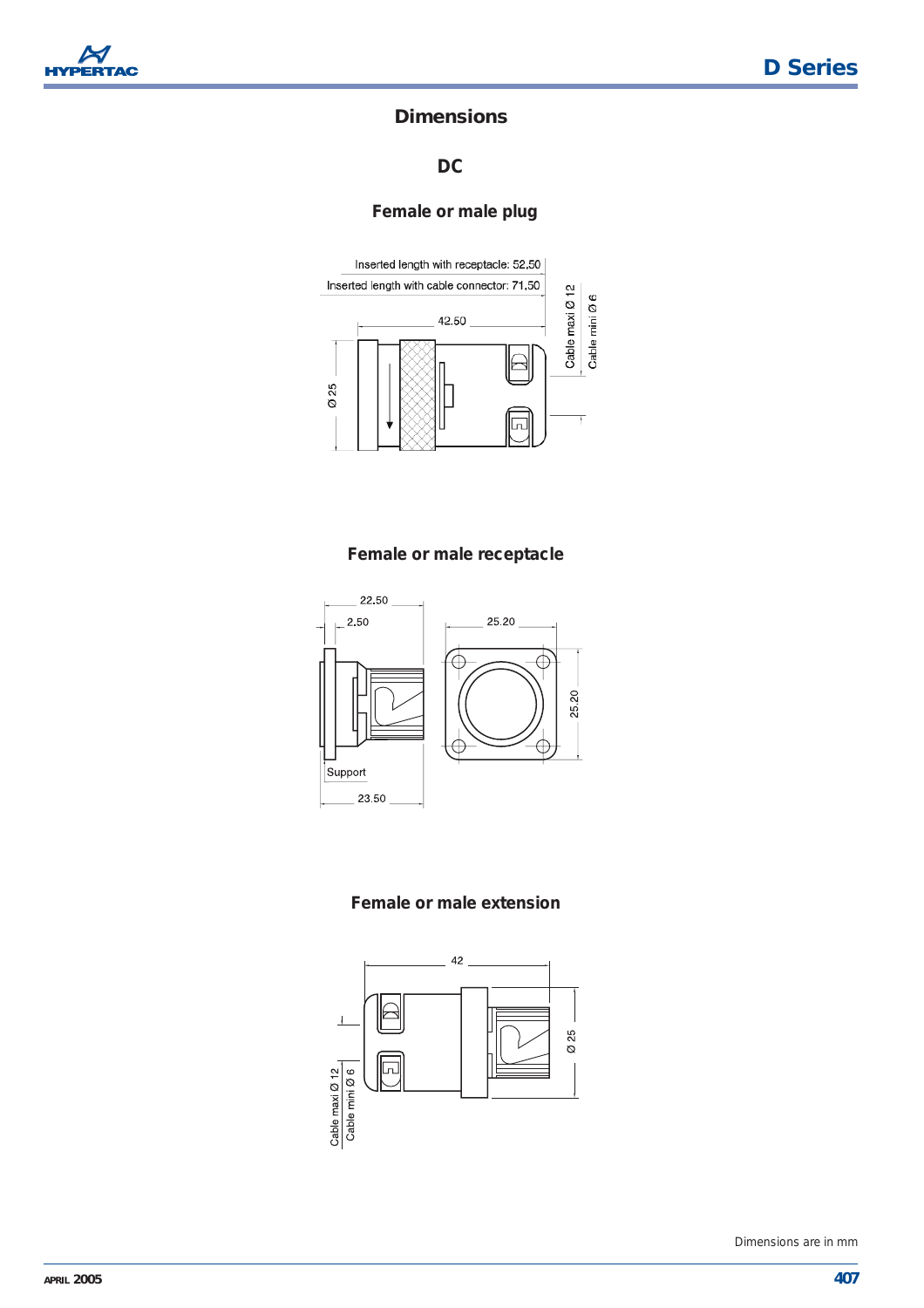

## **Dimensions**

**DC**

**Female or male plug** 



#### **Female or male receptacle**



#### **Female or male extension**